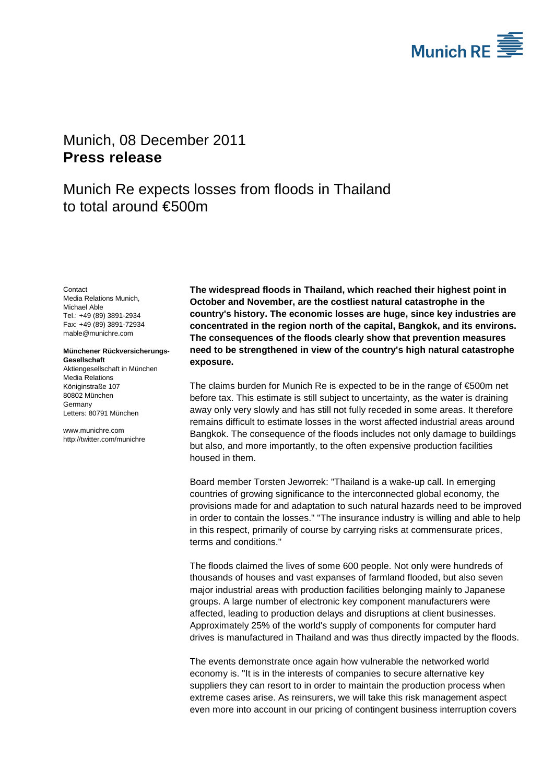

## <span id="page-0-1"></span><span id="page-0-0"></span>Munich, 08 December 2011 **Press release**

Munich Re expects losses from floods in Thailand to total around €500m

<span id="page-0-3"></span><span id="page-0-2"></span>**Contact** Media Relations Munich, Michael Able Tel.: +49 (89) 3891-2934 Fax: +49 (89) 3891-72934 mable@munichre.com

## **Münchener Rückversicherungs-Gesellschaft** Aktiengesellschaft in München

Media Relations Königinstraße 107 80802 München Germany Letters: 80791 München

www.munichre.com http://twitter.com/munichre **The widespread floods in Thailand, which reached their highest point in October and November, are the costliest natural catastrophe in the country's history. The economic losses are huge, since key industries are concentrated in the region north of the capital, Bangkok, and its environs. The consequences of the floods clearly show that prevention measures need to be strengthened in view of the country's high natural catastrophe exposure.**

The claims burden for Munich Re is expected to be in the range of €500m net before tax. This estimate is still subject to uncertainty, as the water is draining away only very slowly and has still not fully receded in some areas. It therefore remains difficult to estimate losses in the worst affected industrial areas around Bangkok. The consequence of the floods includes not only damage to buildings but also, and more importantly, to the often expensive production facilities housed in them.

Board member Torsten Jeworrek: "Thailand is a wake-up call. In emerging countries of growing significance to the interconnected global economy, the provisions made for and adaptation to such natural hazards need to be improved in order to contain the losses." "The insurance industry is willing and able to help in this respect, primarily of course by carrying risks at commensurate prices, terms and conditions."

The floods claimed the lives of some 600 people. Not only were hundreds of thousands of houses and vast expanses of farmland flooded, but also seven major industrial areas with production facilities belonging mainly to Japanese groups. A large number of electronic key component manufacturers were affected, leading to production delays and disruptions at client businesses. Approximately 25% of the world's supply of components for computer hard drives is manufactured in Thailand and was thus directly impacted by the floods.

The events demonstrate once again how vulnerable the networked world economy is. "It is in the interests of companies to secure alternative key suppliers they can resort to in order to maintain the production process when extreme cases arise. As reinsurers, we will take this risk management aspect even more into account in our pricing of contingent business interruption covers